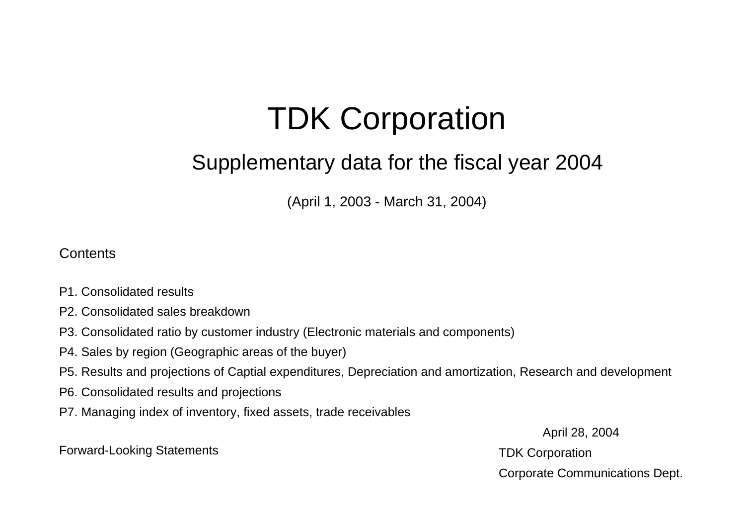# TDK Cor poration

### Supplementary data for the fiscal year 2004

(April 1, 2003 - March 31, 2004)

#### **Contents**

- P1. Consolidated results
- P2. Consolidated sales breakdown
- P3. Consolidated ratio by customer industry (Electronic materials and components)
- P4. Sales by region (Geographic areas of the buyer)
- P5. Results and projections of Captial expenditures, Depreciation and amortization, Research and development
- P6. Consolidated results and projections
- P7. Managing index of inventory, fixed assets, trade receivables

April 28, 2004 Corporate Communications Dept.

Forward-Looking Statements **TDK** Corporation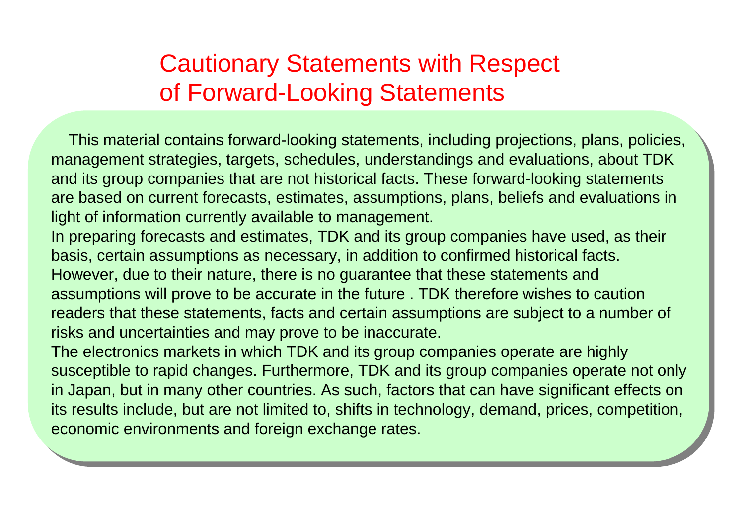## Cautionary Statements with Respect of Forward-Looking Statements

 This material contains forward-looking statements, including projections, plans, policies, management strategies, targets, schedules, understandings and evaluations, about TDK and its group companies that are not historical facts. These forward-looking statements are based on current forecasts, estimates, assumptions, plans, beliefs and evaluations in light of information currently available to management.

In preparing forecasts and estimates, TDK and its group companies have used, as their basis, certain assumptions as necessary, in addition to confirmed historical facts.

However, due to their nature, there is no guarantee that these statements and assumptions will prove to be accurate in the future . TDK therefore wishes to caution readers that these statements, facts and certain assumptions are subject to a number of risks and uncertainties and may prove to be inaccurate.

The electronics markets in which TDK and its group companies operate are highly susceptible to rapid changes. Furthermore, TDK and its group companies operate not only in Japan, but in many other countries. As such, factors that can have significant effects on its results include, but are not limited to, shifts in technology, demand, prices, competition, economic environments and foreign exchange rates.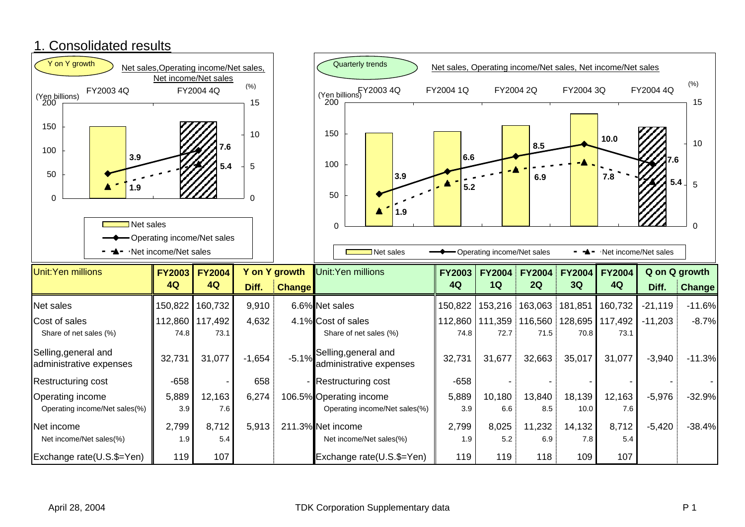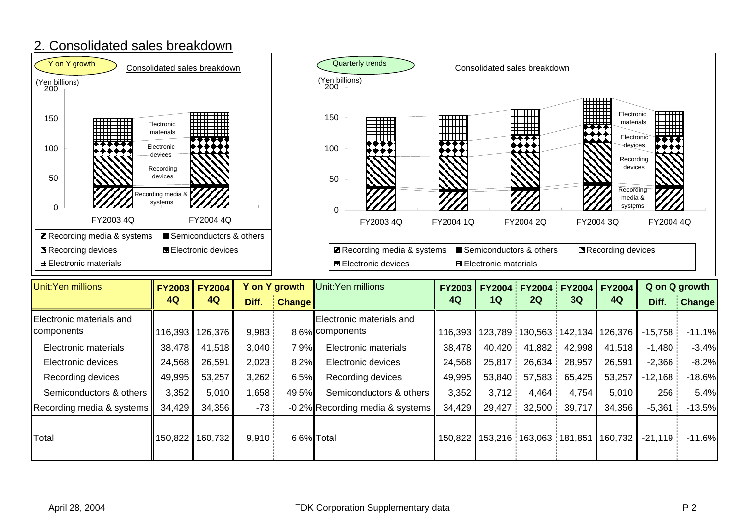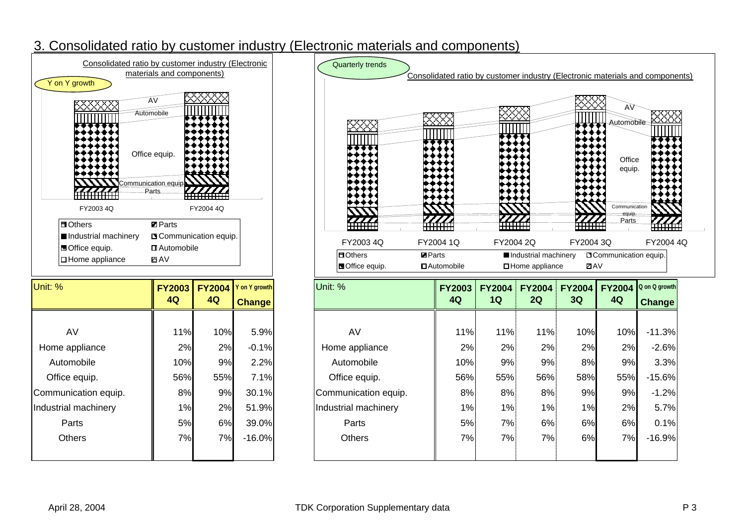#### 3. Consolidated ratio by customer industry (Electronic materials and components)



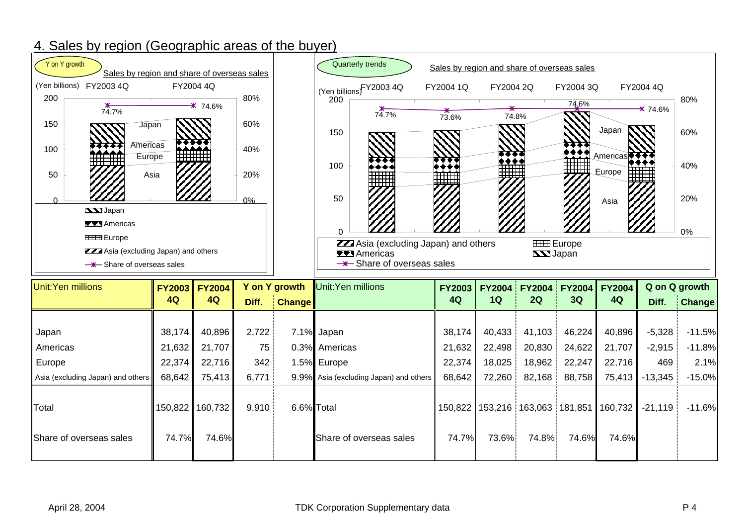#### 4. Sales by region (Geographic areas of the buyer)

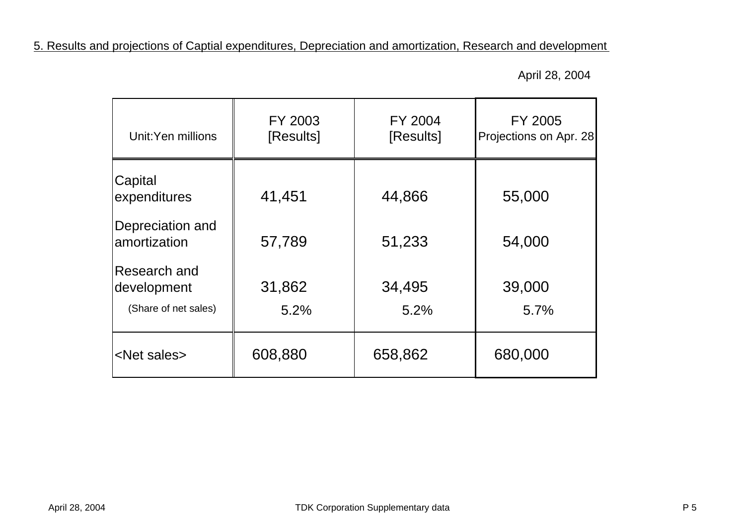5. Results and projections of Captial expenditures, Depreciation and amortization, Research and development

April 28, 2004

| Unit:Yen millions                                   | FY 2003<br>[Results] | FY 2004<br>[Results] | FY 2005<br>Projections on Apr. 28 |
|-----------------------------------------------------|----------------------|----------------------|-----------------------------------|
| Capital<br>expenditures                             | 41,451               | 44,866               | 55,000                            |
| Depreciation and<br>amortization                    | 57,789               | 51,233               | 54,000                            |
| Research and<br>development<br>(Share of net sales) | 31,862<br>5.2%       | 34,495<br>5.2%       | 39,000<br>5.7%                    |
| <net sales=""></net>                                | 608,880              | 658,862              | 680,000                           |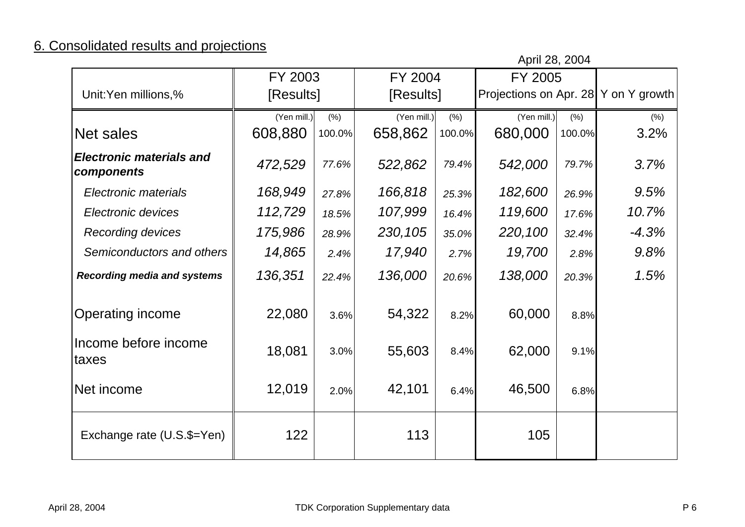### 6. Consolidated results and projections

|                                               |             |        |             |        | April 28, 2004                       |        |         |
|-----------------------------------------------|-------------|--------|-------------|--------|--------------------------------------|--------|---------|
|                                               | FY 2003     |        | FY 2004     |        | FY 2005                              |        |         |
| Unit:Yen millions,%                           | [Results]   |        | [Results]   |        | Projections on Apr. 28 Y on Y growth |        |         |
|                                               | (Yen mill.) | (% )   | (Yen mill.) | (%)    | (Yen mill.)                          | (% )   | (% )    |
| <b>Net sales</b>                              | 608,880     | 100.0% | 658,862     | 100.0% | 680,000                              | 100.0% | 3.2%    |
| <b>Electronic materials and</b><br>components | 472,529     | 77.6%  | 522,862     | 79.4%  | 542,000                              | 79.7%  | 3.7%    |
| Electronic materials                          | 168,949     | 27.8%  | 166,818     | 25.3%  | 182,600                              | 26.9%  | 9.5%    |
| Electronic devices                            | 112,729     | 18.5%  | 107,999     | 16.4%  | 119,600                              | 17.6%  | 10.7%   |
| <b>Recording devices</b>                      | 175,986     | 28.9%  | 230,105     | 35.0%  | 220,100                              | 32.4%  | $-4.3%$ |
| Semiconductors and others                     | 14,865      | 2.4%   | 17,940      | 2.7%   | 19,700                               | 2.8%   | 9.8%    |
| <b>Recording media and systems</b>            | 136,351     | 22.4%  | 136,000     | 20.6%  | 138,000                              | 20.3%  | 1.5%    |
| <b>Operating income</b>                       | 22,080      | 3.6%   | 54,322      | 8.2%   | 60,000                               | 8.8%   |         |
| Income before income<br>taxes                 | 18,081      | 3.0%   | 55,603      | 8.4%   | 62,000                               | 9.1%   |         |
| Net income                                    | 12,019      | 2.0%   | 42,101      | 6.4%   | 46,500                               | 6.8%   |         |
| Exchange rate (U.S.\$=Yen)                    | 122         |        | 113         |        | 105                                  |        |         |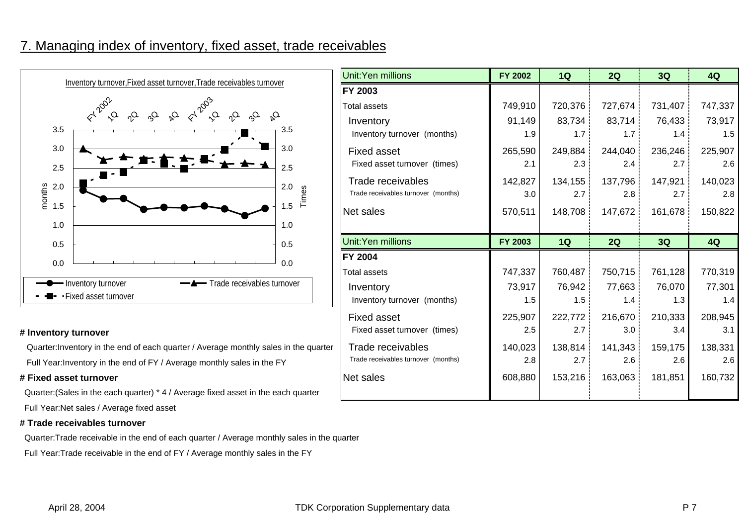#### 7. Managing index of inventory, fixed asset, trade receivables



#### **# Inventory turnover**

Quarter:Inventory in the end of each quarter / Average monthly sales in the quarte Full Year:Inventory in the end of FY / Average monthly sales in the FY

#### **# Fixed asset turnover**

Quarter:(Sales in the each quarter) \* 4 / Average fixed asset in the each quarter

Full Year:Net sales / Average fixed asset

#### **# Trade receivables turnover**

Quarter:Trade receivable in the end of each quarter / Average monthly sales in the quarter

Full Year:Trade receivable in the end of FY / Average monthly sales in the FY

| ver, Fixed asset turnover, Trade receivables turnover                        |         | <b>Unit:Yen millions</b>            | <b>FY 2002</b> | 1Q               | 2Q      | 3Q      | 4Q      |
|------------------------------------------------------------------------------|---------|-------------------------------------|----------------|------------------|---------|---------|---------|
|                                                                              |         | <b>FY 2003</b>                      |                |                  |         |         |         |
| 1203                                                                         |         | <b>Total assets</b>                 | 749,910        | 720,376          | 727,674 | 731,407 | 747,337 |
| $Q_0$<br>$\mathcal{O}_4$<br>$\sim$<br>$\varphi$<br>$Q_{\alpha}$<br>$\varphi$ | $Q_{d}$ | Inventory                           | 91,149         | 83,734           | 83,714  | 76,433  | 73,917  |
|                                                                              | 3.5     | Inventory turnover (months)         | 1.9            | 1.7 <sup>1</sup> | 1.7     | 1.4     | 1.5     |
|                                                                              | 3.0     | <b>Fixed asset</b>                  | 265,590        | 249,884          | 244,040 | 236,246 | 225,907 |
|                                                                              | 2.5     | Fixed asset turnover (times)        | 2.1            | 2.3              | 2.4     | 2.7     | 2.6     |
|                                                                              | 2.0     | Trade receivables                   | 142,827        | 134,155          | 137,796 | 147,921 | 140,023 |
|                                                                              | Times   | Trade receivables turnover (months) | 3.0            | 2.7:             | 2.8     | 2.7     | 2.8     |
|                                                                              | 1.5     | Net sales                           | 570,511        | 148,708          | 147,672 | 161,678 | 150,822 |
|                                                                              | 1.0     |                                     |                |                  |         |         |         |
|                                                                              |         |                                     |                |                  |         |         |         |
|                                                                              | 0.5     | Unit:Yen millions                   | FY 2003        | 1Q               | 2Q      | 3Q      | 4Q      |
|                                                                              |         | <b>FY 2004</b>                      |                |                  |         |         |         |
|                                                                              | 0.0     | <b>Total assets</b>                 | 747,337        | 760,487          | 750,715 | 761,128 | 770,319 |
| -A-Trade receivables turnover<br>wer                                         |         | Inventory                           | 73,917         | 76,942           | 77,663  | 76,070  | 77,301  |
| nover                                                                        |         | Inventory turnover (months)         | 1.5            | 1.5              | 1.4     | 1.3     | 1.4     |
|                                                                              |         | <b>Fixed asset</b>                  | 225,907        | 222,772          | 216,670 | 210,333 | 208,945 |
|                                                                              |         | Fixed asset turnover (times)        | 2.5            | 2.7              | 3.0     | 3.4     | 3.1     |
| end of each quarter / Average monthly sales in the quarter                   |         | Trade receivables                   | 140,023        | 138,814          | 141,343 | 159,175 | 138,331 |
| e end of FY / Average monthly sales in the FY                                |         | Trade receivables turnover (months) | 2.8            | 2.7              | 2.6     | 2.6     | 2.6     |
|                                                                              |         | Net sales                           | 608,880        | 153,216          | 163,063 | 181,851 | 160,732 |
| ch quarter) * 4 / Average fixed asset in the each quarter                    |         |                                     |                |                  |         |         |         |